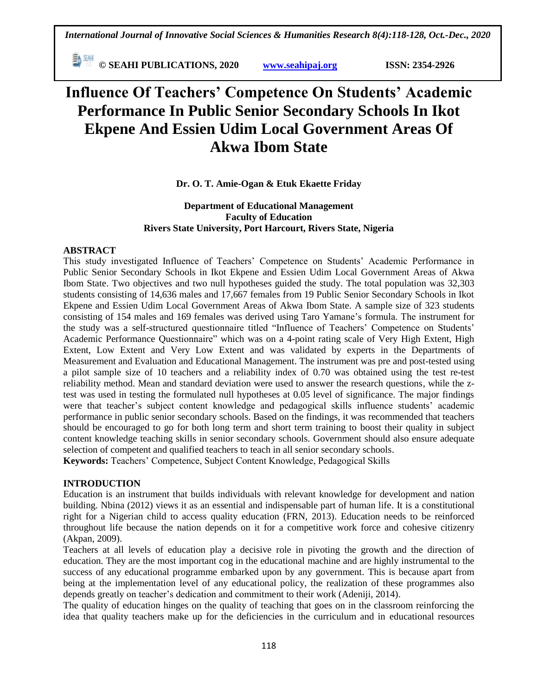**© SEAHI PUBLICATIONS, 2020 [www.seahipaj.org](http://www.seahipaj.org/) ISSN: 2354-2926** 

# **Influence Of Teachers' Competence On Students' Academic Performance In Public Senior Secondary Schools In Ikot Ekpene And Essien Udim Local Government Areas Of Akwa Ibom State**

## **Dr. O. T. Amie-Ogan & Etuk Ekaette Friday**

### **Department of Educational Management Faculty of Education Rivers State University, Port Harcourt, Rivers State, Nigeria**

### **ABSTRACT**

This study investigated Influence of Teachers" Competence on Students" Academic Performance in Public Senior Secondary Schools in Ikot Ekpene and Essien Udim Local Government Areas of Akwa Ibom State. Two objectives and two null hypotheses guided the study. The total population was 32,303 students consisting of 14,636 males and 17,667 females from 19 Public Senior Secondary Schools in Ikot Ekpene and Essien Udim Local Government Areas of Akwa Ibom State. A sample size of 323 students consisting of 154 males and 169 females was derived using Taro Yamane"s formula. The instrument for the study was a self-structured questionnaire titled "Influence of Teachers' Competence on Students' Academic Performance Questionnaire" which was on a 4-point rating scale of Very High Extent, High Extent, Low Extent and Very Low Extent and was validated by experts in the Departments of Measurement and Evaluation and Educational Management. The instrument was pre and post-tested using a pilot sample size of 10 teachers and a reliability index of 0.70 was obtained using the test re-test reliability method. Mean and standard deviation were used to answer the research questions, while the ztest was used in testing the formulated null hypotheses at 0.05 level of significance. The major findings were that teacher's subject content knowledge and pedagogical skills influence students' academic performance in public senior secondary schools. Based on the findings, it was recommended that teachers should be encouraged to go for both long term and short term training to boost their quality in subject content knowledge teaching skills in senior secondary schools. Government should also ensure adequate selection of competent and qualified teachers to teach in all senior secondary schools. **Keywords:** Teachers" Competence, Subject Content Knowledge, Pedagogical Skills

### **INTRODUCTION**

Education is an instrument that builds individuals with relevant knowledge for development and nation building. Nbina (2012) views it as an essential and indispensable part of human life. It is a constitutional right for a Nigerian child to access quality education (FRN, 2013). Education needs to be reinforced throughout life because the nation depends on it for a competitive work force and cohesive citizenry (Akpan, 2009).

Teachers at all levels of education play a decisive role in pivoting the growth and the direction of education. They are the most important cog in the educational machine and are highly instrumental to the success of any educational programme embarked upon by any government. This is because apart from being at the implementation level of any educational policy, the realization of these programmes also depends greatly on teacher"s dedication and commitment to their work (Adeniji, 2014).

The quality of education hinges on the quality of teaching that goes on in the classroom reinforcing the idea that quality teachers make up for the deficiencies in the curriculum and in educational resources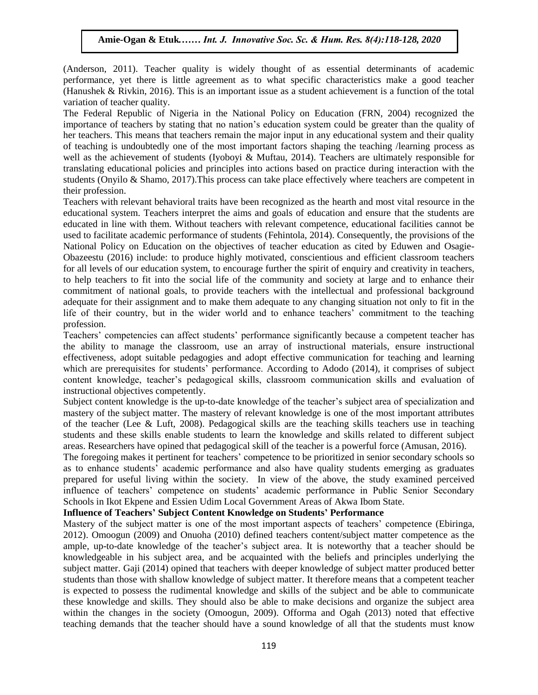(Anderson, 2011). Teacher quality is widely thought of as essential determinants of academic (Anderson, 2011). Teacher quanty is which modght of as essential determinants of academic<br>performance, yet there is little agreement as to what specific characteristics make a good teacher (Hanushek & Rivkin, 2016). This is an important issue as a student achievement is a function of the total variation of teacher quality.

The Federal Republic of Nigeria in the National Policy on Education (FRN, 2004) recognized the importance of teachers by stating that no nation's education system could be greater than the quality of importance of teachers by stating that no nation's education system could be greater than the quality of her teachers. This means that teachers remain the major input in any educational system and their quality of teaching is undoubtedly one of the most important factors shaping the teaching /learning process as well as the achievement of students (Iyoboyi & Muftau, 2014). Teachers are ultimately responsible for translating educational policies and principles into actions based on practice during interaction with the translating educational policies and principles into actions based on practice during interaction with the students (Onyilo & Shamo, 2017).This process can take place effectively where teachers are competent in their profession.

Teachers with relevant behavioral traits have been recognized as the hearth and most vital resource in the reducational system. Teachers interpret the aims and goals of education and ensure that the students are educational system. educated in line with them. Without teachers with relevant competence, educational facilities cannot be used to facilitate academic performance of students (Fehintola, 2014). Consequently, the provisions of the National Policy on Education on the objectives of teacher education as cited by Eduwen and Osagie-National Toney on Education on the objectives of teacher education as effect by Eduwen and Osage-<br>Obazeestu (2016) include: to produce highly motivated, conscientious and efficient classroom teachers for all levels of our education system, to encourage further the spirit of enquiry and creativity in teachers, to help teachers to fit into the social life of the community and society at large and to enhance their commitment of national goals, to provide teachers with the intellectual and professional background adequate for their assignment and to make them adequate to any changing situation not only to fit in the adequate for their assignment and to make them adequate to any changing situation not only to fit in the life of their country, but in the wider world and to enhance teachers" commitment to the teaching profession.

Teachers" competencies can affect students" performance significantly because a competent teacher has the ability to manage the classroom, use an array of instructional materials, ensure instructional effectiveness, adopt suitable pedagogies and adopt effective communication for teaching and learning which are prerequisites for students' performance. According to Adodo (2014), it comprises of subject content knowledge, teacher"s pedagogical skills, classroom communication skills and evaluation of instructional objectives competently.

Subject content knowledge is the up-to-date knowledge of the teacher"s subject area of specialization and mastery of the subject matter. The mastery of relevant knowledge is one of the most important attributes of the teacher (Lee & Luft, 2008). Pedagogical skills are the teaching skills teachers use in teaching students and these skills enable students to learn the knowledge and skills related to different subject areas. Researchers have opined that pedagogical skill of the teacher is a powerful force (Amusan, 2016).

The foregoing makes it pertinent for teachers" competence to be prioritized in senior secondary schools so as to enhance students" academic performance and also have quality students emerging as graduates prepared for useful living within the society. In view of the above, the study examined perceived influence of teachers' competence on students' academic performance in Public Senior Secondary Schools in Ikot Ekpene and Essien Udim Local Government Areas of Akwa Ibom State.

### **Influence of Teachers' Subject Content Knowledge on Students' Performance**

Mastery of the subject matter is one of the most important aspects of teachers" competence (Ebiringa, 2012). Omoogun (2009) and Onuoha (2010) defined teachers content/subject matter competence as the ample, up-to-date knowledge of the teacher's subject area. It is noteworthy that a teacher should be knowledgeable in his subject area, and be acquainted with the beliefs and principles underlying the subject matter. Gaji (2014) opined that teachers with deeper knowledge of subject matter produced better students than those with shallow knowledge of subject matter. It therefore means that a competent teacher is expected to possess the rudimental knowledge and skills of the subject and be able to communicate these knowledge and skills. They should also be able to make decisions and organize the subject area within the changes in the society (Omoogun, 2009). Offorma and Ogah (2013) noted that effective teaching demands that the teacher should have a sound knowledge of all that the students must know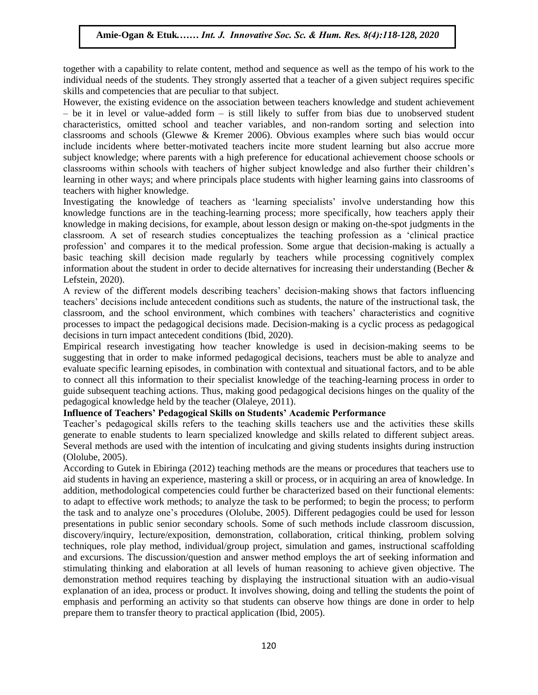together with a capability to relate content, method and sequence as well as the tempo of his work to the individual needs of the students. They strongly asserted that a teacher of a given subject requires specific skills and competencies that are peculiar to that subject.

However, the existing evidence on the association between teachers knowledge and student achievement  $-$  be it in level or value-added form  $-$  is still likely to suffer from bias due to unobserved student characteristics, omitted school and teacher variables, and non-random sorting and selection into classrooms and schools (Glewwe & Kremer 2006). Obvious examples where such bias would occur include incidents where better-motivated teachers incite more student learning but also accrue more subject knowledge; where parents with a high preference for educational achievement choose schools or classrooms within schools with teachers of higher subject knowledge and also further their children"s learning in other ways; and where principals place students with higher learning gains into classrooms of teachers with higher knowledge.

Investigating the knowledge of teachers as 'learning specialists' involve understanding how this knowledge functions are in the teaching-learning process; more specifically, how teachers apply their knowledge in making decisions, for example, about lesson design or making on-the-spot judgments in the classroom. A set of research studies conceptualizes the teaching profession as a "clinical practice profession' and compares it to the medical profession. Some argue that decision-making is actually a basic teaching skill decision made regularly by teachers while processing cognitively complex information about the student in order to decide alternatives for increasing their understanding (Becher & Lefstein, 2020).

A review of the different models describing teachers' decision-making shows that factors influencing teachers" decisions include antecedent conditions such as students, the nature of the instructional task, the classroom, and the school environment, which combines with teachers" characteristics and cognitive processes to impact the pedagogical decisions made. Decision-making is a cyclic process as pedagogical decisions in turn impact antecedent conditions (Ibid, 2020).

Empirical research investigating how teacher knowledge is used in decision-making seems to be suggesting that in order to make informed pedagogical decisions, teachers must be able to analyze and evaluate specific learning episodes, in combination with contextual and situational factors, and to be able to connect all this information to their specialist knowledge of the teaching-learning process in order to guide subsequent teaching actions. Thus, making good pedagogical decisions hinges on the quality of the pedagogical knowledge held by the teacher (Olaleye, 2011).

### **Influence of Teachers' Pedagogical Skills on Students' Academic Performance**

Teacher"s pedagogical skills refers to the teaching skills teachers use and the activities these skills generate to enable students to learn specialized knowledge and skills related to different subject areas. Several methods are used with the intention of inculcating and giving students insights during instruction (Ololube, 2005).

According to Gutek in Ebiringa (2012) teaching methods are the means or procedures that teachers use to aid students in having an experience, mastering a skill or process, or in acquiring an area of knowledge. In addition, methodological competencies could further be characterized based on their functional elements: to adapt to effective work methods; to analyze the task to be performed; to begin the process; to perform the task and to analyze one"s procedures (Ololube, 2005). Different pedagogies could be used for lesson presentations in public senior secondary schools. Some of such methods include classroom discussion, discovery/inquiry, lecture/exposition, demonstration, collaboration, critical thinking, problem solving techniques, role play method, individual/group project, simulation and games, instructional scaffolding and excursions. The discussion/question and answer method employs the art of seeking information and stimulating thinking and elaboration at all levels of human reasoning to achieve given objective. The demonstration method requires teaching by displaying the instructional situation with an audio-visual explanation of an idea, process or product. It involves showing, doing and telling the students the point of emphasis and performing an activity so that students can observe how things are done in order to help prepare them to transfer theory to practical application (Ibid, 2005).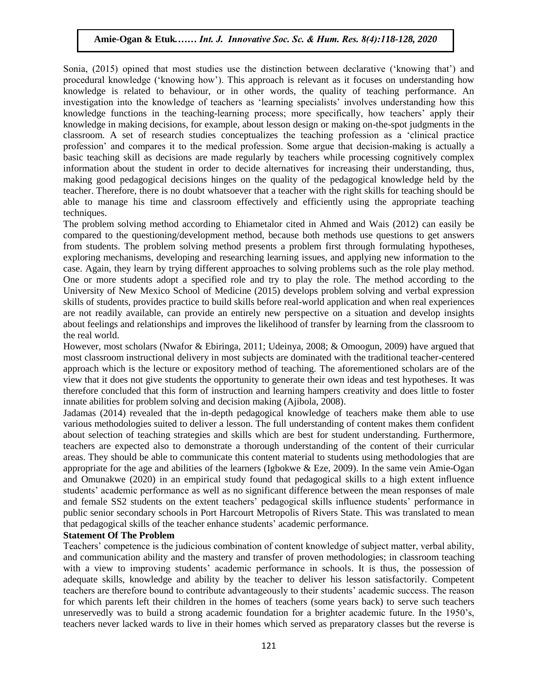Sonia,  $(2015)$  opined that most studies use the distinction between declarative ('knowing that') and procedural knowledge ("knowing how"). This approach is relevant as it focuses on understanding how knowledge is related to behaviour, or in other words, the quality of teaching performance. An investigation into the knowledge of teachers as "learning specialists" involves understanding how this knowledge functions in the teaching-learning process; more specifically, how teachers" apply their knowledge functions in the teaching-learning process, more specifically, now teachers apply their<br>knowledge in making decisions, for example, about lesson design or making on-the-spot judgments in the classroom. A set of research studies conceptualizes the teaching profession as a "clinical practice profession" and compares it to the medical profession. Some argue that decision-making is actually a basic teaching skill as decisions are made regularly by teachers while processing cognitively complex mation about the student in order to decide alternatives for increasing their understanding, thus, information about the student in order to decide alternatives for increasing their understanding, thus, making good pedagogical decisions hinges on the quality of the pedagogical knowledge held by the teacher. Therefore, there is no doubt whatsoever that a teacher with the right skills for teaching should be able to manage his time and classroom effectively and efficiently using the appropriate teaching<br>techniques techniques.

The problem solving method according to Ehiametalor cited in Ahmed and Wais (2012) can easily be compared to the questioning/development method, because both methods use questions to get answers from students. The problem solving method presents a problem first through formulating hypotheses, moin students. The problem solving method presents a problem inst unough formulating hypotheses, exploring mechanisms, developing and researching learning issues, and applying new information to the case. Again, they learn by trying different approaches to solving problems such as the role play method. One or more students adopt a specified role and try to play the role. The method according to the University of New Mexico School of Medicine (2015) develops problem solving and verbal expression excepts problem solving and verbal expression showing the verbal expression showing and verbal expression skills of students, provides practice to build skills before real-world application and when real experiences are not readily available, can provide an entirely new perspective on a situation and develop insights about feelings and relationships and improves the likelihood of transfer by learning from the classroom to the real world.

me rear word.<br>However, most scholars (Nwafor & Ebiringa, 2011; Udeinya, 2008; & Omoogun, 2009) have argued that most classroom instructional delivery in most subjects are dominated with the traditional teacher-centered approach which is the lecture or expository method of teaching. The aforementioned scholars are of the view that it does not give students the opportunity to generate their own ideas and test hypotheses. It was therefore concluded that this form of instruction and learning hampers creativity and does little to foster innate abilities for problem solving and decision making (Ajibola, 2008).

Jadamas (2014) revealed that the in-depth pedagogical knowledge of teachers make them able to use various methodologies suited to deliver a lesson. The full understanding of content makes them confident about selection of teaching strategies and skills which are best for student understanding. Furthermore, teachers are expected also to demonstrate a thorough understanding of the content of their curricular areas. They should be able to communicate this content material to students using methodologies that are appropriate for the age and abilities of the learners (Igbokwe & Eze, 2009). In the same vein Amie-Ogan and Omunakwe (2020) in an empirical study found that pedagogical skills to a high extent influence students" academic performance as well as no significant difference between the mean responses of male and female SS2 students on the extent teachers' pedagogical skills influence students' performance in public senior secondary schools in Port Harcourt Metropolis of Rivers State. This was translated to mean that pedagogical skills of the teacher enhance students" academic performance.

### **Statement Of The Problem**

Teachers" competence is the judicious combination of content knowledge of subject matter, verbal ability, and communication ability and the mastery and transfer of proven methodologies; in classroom teaching with a view to improving students' academic performance in schools. It is thus, the possession of adequate skills, knowledge and ability by the teacher to deliver his lesson satisfactorily. Competent teachers are therefore bound to contribute advantageously to their students" academic success. The reason for which parents left their children in the homes of teachers (some years back) to serve such teachers unreservedly was to build a strong academic foundation for a brighter academic future. In the 1950"s, teachers never lacked wards to live in their homes which served as preparatory classes but the reverse is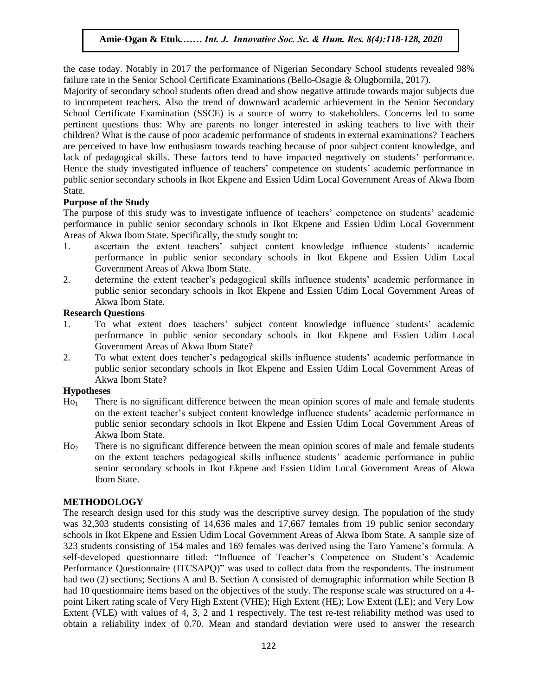the case today. Notably in 2017 the performance of Nigerian Secondary School students revealed 98% failure rate in the Senior School Certificate Examinations (Bello-Osagie & Olugbornila, 2017).

Majority of secondary school students often dread and show negative attitude towards major subjects due to incompetent teachers. Also the trend of downward academic achievement in the Senior Secondary School Certificate Examination (SSCE) is a source of worry to stakeholders. Concerns led to some Schoor Certificate Examination (SSCE) is a source of worry to stakeholders. Concerns led to some pertinent questions thus: Why are parents no longer interested in asking teachers to live with their children? What is the cause of poor academic performance of students in external examinations? Teachers are perceived to have low enthusiasm towards teaching because of poor subject content knowledge, and lack of pedagogical skills. These factors tend to have impacted negatively on students" performance. Hence the study investigated influence of teachers' competence on students' academic performance in Hence the study investigated influence of teachers' competence on students' academic performance in public senior secondary schools in Ikot Ekpene and Essien Udim Local Government Areas of Akwa Ibom State.

### **Purpose of the Study**

If the purpose of this study was to investigate influence of teachers' competence on students' academic The purpose of this study was to investigate influence of teachers' competence on students' academic performance in public senior secondary schools in Ikot Ekpene and Essien Udim Local Government Areas of Akwa Ibom State. Specifically, the study sought to:

- 1. ascertain the extent teachers' subject content knowledge influence students' academic ascertain the extent teachers subject content knowledge influence students academic<br>performance in public senior secondary schools in Ikot Ekpene and Essien Udim Local Government Areas of Akwa Ibom State.
- 2. determine the extent teacher"s pedagogical skills influence students" academic performance in public senior secondary schools in Ikot Ekpene and Essien Udim Local Government Areas of Aluxe Ibom State Akwa Ibom State.

### **Research Questions**

- 1. To what extent does teachers" subject content knowledge influence students" academic performance in public senior secondary schools in Ikot Ekpene and Essien Udim Local Ferformance in paolie senior secondary senoors in not Experie to Government Areas of Akwa Ibom State?
- 2. To what extent does teacher"s pedagogical skills influence students" academic performance in public senior secondary schools in Ikot Ekpene and Essien Udim Local Government Areas of Akwa Ibom State?

### **Hypotheses**

- $H_{0_1}$  There is no significant difference between the mean opinion scores of male and female students on the extent teacher"s subject content knowledge influence students" academic performance in public senior secondary schools in Ikot Ekpene and Essien Udim Local Government Areas of Akwa Ibom State.
- Ho<sup>2</sup> There is no significant difference between the mean opinion scores of male and female students on the extent teachers pedagogical skills influence students" academic performance in public senior secondary schools in Ikot Ekpene and Essien Udim Local Government Areas of Akwa Ibom State.

### **METHODOLOGY**

The research design used for this study was the descriptive survey design. The population of the study was 32,303 students consisting of 14,636 males and 17,667 females from 19 public senior secondary schools in Ikot Ekpene and Essien Udim Local Government Areas of Akwa Ibom State. A sample size of 323 students consisting of 154 males and 169 females was derived using the Taro Yamene"s formula. A self-developed questionnaire titled: "Influence of Teacher's Competence on Student's Academic Performance Questionnaire (ITCSAPQ)" was used to collect data from the respondents. The instrument had two (2) sections; Sections A and B. Section A consisted of demographic information while Section B had 10 questionnaire items based on the objectives of the study. The response scale was structured on a 4point Likert rating scale of Very High Extent (VHE); High Extent (HE); Low Extent (LE); and Very Low Extent (VLE) with values of 4, 3, 2 and 1 respectively. The test re-test reliability method was used to obtain a reliability index of 0.70. Mean and standard deviation were used to answer the research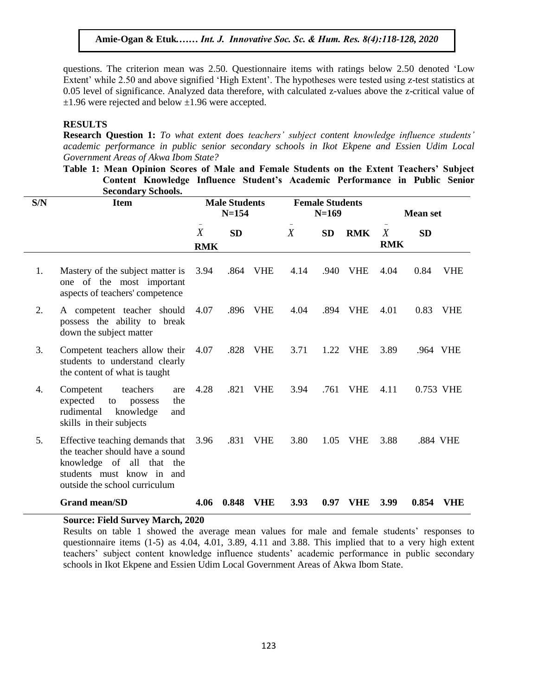questions. The criterion mean was 2.50. Questionnaire items with ratings below 2.50 denoted "Low questions. The criterion mean was 2.50. Questionnaire fields with ratings below 2.50 denoted Low<br>Extent' while 2.50 and above signified 'High Extent'. The hypotheses were tested using z-test statistics at 0.05 level of significance. Analyzed data therefore, with calculated z-values above the z-critical value of  $\pm 1.96$  were rejected and below  $\pm 1.96$  were accepted.

#### **RESULTS**  $\overline{A}$  and  $\overline{B}$  in  $\overline{B}$  and  $\overline{B}$  is the sec. Sec.  $\overline{B}$

**Research Question 1:** *To what extent does teachers' subject content knowledge influence students' academic performance in public senior secondary schools in Ikot Ekpene and Essien Udim Local Government Areas of Akwa Ibom State?*

**The Subsect Artain Scores of Anwarpoon State:**<br>Table 1: Mean Opinion Scores of Male and Female Students on the Extent Teachers' Subject **Content Knowledge Influence Student's Academic Performance in Public Senior Secondary Schools.**

| S/N | <b>Item</b>                                                                                                                                                   |                                | <b>Male Students</b><br>$N = 154$ |            | <b>Female Students</b><br>$N=169$ |           | <b>Mean set</b><br>$\overline{\phantom{a}}$ |                                |           |            |
|-----|---------------------------------------------------------------------------------------------------------------------------------------------------------------|--------------------------------|-----------------------------------|------------|-----------------------------------|-----------|---------------------------------------------|--------------------------------|-----------|------------|
|     |                                                                                                                                                               | $\boldsymbol{X}$<br><b>RMK</b> | <b>SD</b>                         |            | $\overline{X}$                    | <b>SD</b> | <b>RMK</b>                                  | $\boldsymbol{X}$<br><b>RMK</b> | <b>SD</b> |            |
| 1.  | Mastery of the subject matter is<br>one of the most important<br>aspects of teachers' competence                                                              | 3.94                           |                                   | .864 VHE   | 4.14                              | .940      | <b>VHE</b>                                  | 4.04                           | 0.84      | <b>VHE</b> |
| 2.  | A competent teacher should<br>possess the ability to break<br>down the subject matter                                                                         | 4.07                           | .896                              | <b>VHE</b> | 4.04                              | .894      | <b>VHE</b>                                  | 4.01                           | 0.83      | <b>VHE</b> |
| 3.  | Competent teachers allow their<br>students to understand clearly<br>the content of what is taught                                                             | 4.07                           | .828                              | <b>VHE</b> | 3.71                              | 1.22      | <b>VHE</b>                                  | 3.89                           | .964 VHE  |            |
| 4.  | teachers<br>Competent<br>are<br>expected<br>the<br>to<br>possess<br>rudimental<br>knowledge<br>and<br>skills in their subjects                                | 4.28                           | .821                              | <b>VHE</b> | 3.94                              | .761      | <b>VHE</b>                                  | 4.11                           | 0.753 VHE |            |
| 5.  | Effective teaching demands that<br>the teacher should have a sound<br>knowledge of all that the<br>students must know in and<br>outside the school curriculum | 3.96                           | .831                              | <b>VHE</b> | 3.80                              | 1.05      | <b>VHE</b>                                  | 3.88                           | .884 VHE  |            |
|     | <b>Grand mean/SD</b>                                                                                                                                          | 4.06                           | 0.848                             | <b>VHE</b> | 3.93                              | 0.97      | VHE                                         | 3.99                           | 0.854     | VHE        |

### **Source: Field Survey March, 2020**

Results on table 1 showed the average mean values for male and female students' responses to questionnaire items (1-5) as 4.04, 4.01, 3.89, 4.11 and 3.88. This implied that to a very high extent teachers' subject content knowledge influence students' academic performance in public secondary schools in Ikot Ekpene and Essien Udim Local Government Areas of Akwa Ibom State.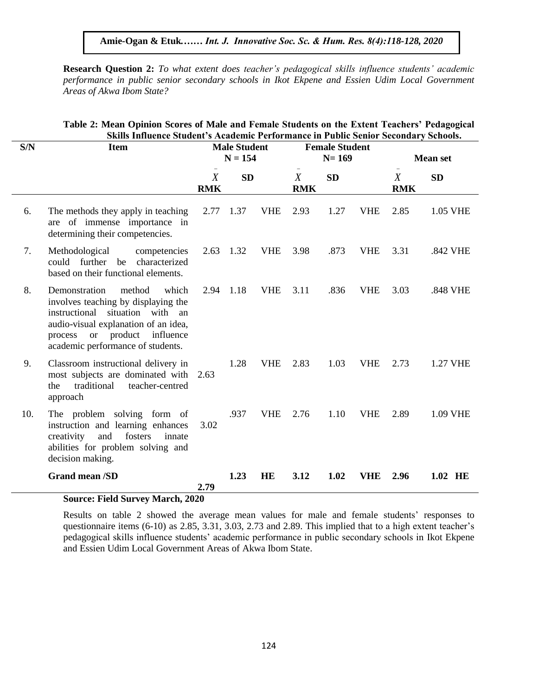**Research Question 2:** *To what extent does teacher's pedagogical skills influence students' academic*  **Pressear on Galestion 2:** 10 mail extent about the pearl spearl spearl shares inflated statement in public senior secondary schools in Ikot Ekpene and Essien Udim Local Government *Areas of Akwa Ibom State?*

|     | Skills Influence Student's Academic Performance in Public Senior Secondary Schools.                                                                                                                                        |                                  |           |                                    |                                |           |                 |                 |                 |  |  |
|-----|----------------------------------------------------------------------------------------------------------------------------------------------------------------------------------------------------------------------------|----------------------------------|-----------|------------------------------------|--------------------------------|-----------|-----------------|-----------------|-----------------|--|--|
| S/N | <b>Item</b>                                                                                                                                                                                                                | <b>Male Student</b><br>$N = 154$ |           | <b>Female Student</b><br>$N = 169$ |                                |           | <b>Mean set</b> |                 |                 |  |  |
|     |                                                                                                                                                                                                                            | $\boldsymbol{X}$<br><b>RMK</b>   | <b>SD</b> |                                    | $\boldsymbol{X}$<br><b>RMK</b> | <b>SD</b> |                 | X<br><b>RMK</b> | <b>SD</b>       |  |  |
| 6.  | The methods they apply in teaching<br>are of immense importance in<br>determining their competencies.                                                                                                                      | 2.77 1.37                        |           | <b>VHE</b>                         | 2.93                           | 1.27      | <b>VHE</b>      | 2.85            | 1.05 VHE        |  |  |
| 7.  | Methodological<br>competencies<br>could further be characterized<br>based on their functional elements.                                                                                                                    | 2.63                             | 1.32      | <b>VHE</b>                         | 3.98                           | .873      | <b>VHE</b>      | 3.31            | .842 VHE        |  |  |
| 8.  | Demonstration<br>method<br>which<br>involves teaching by displaying the<br>situation with an<br>instructional<br>audio-visual explanation of an idea,<br>process or product influence<br>academic performance of students. | 2.94                             | 1.18      | <b>VHE</b>                         | 3.11                           | .836      | <b>VHE</b>      | 3.03            | .848 VHE        |  |  |
| 9.  | Classroom instructional delivery in<br>most subjects are dominated with<br>traditional<br>teacher-centred<br>the<br>approach                                                                                               | 2.63                             | 1.28      | <b>VHE</b>                         | 2.83                           | 1.03      | <b>VHE</b>      | 2.73            | <b>1.27 VHE</b> |  |  |
| 10. | The problem solving form of<br>instruction and learning enhances<br>fosters<br>and<br>innate<br>creativity<br>abilities for problem solving and<br>decision making.                                                        | 3.02                             | .937      | <b>VHE</b>                         | 2.76                           | 1.10      | <b>VHE</b>      | 2.89            | 1.09 VHE        |  |  |
|     | <b>Grand mean /SD</b>                                                                                                                                                                                                      | 2.79                             | 1.23      | HE                                 | 3.12                           | 1.02      | <b>VHE</b>      | 2.96            | 1.02 HE         |  |  |
|     | <b>Source: Field Survey March, 2020</b>                                                                                                                                                                                    |                                  |           |                                    |                                |           |                 |                 |                 |  |  |

## Table 2: Mean Opinion Scores of Male and Female Students on the Extent Teachers' Pedagogical **Skills Influence Student's Academic Performance in Public Senior Secondary Schools.**

Results on table 2 showed the average mean values for male and female students' responses to questionnaire items (6-10) as 2.85, 3.31, 3.03, 2.73 and 2.89. This implied that to a high extent teacher"s pedagogical skills influence students" academic performance in public secondary schools in Ikot Ekpene and Essien Udim Local Government Areas of Akwa Ibom State.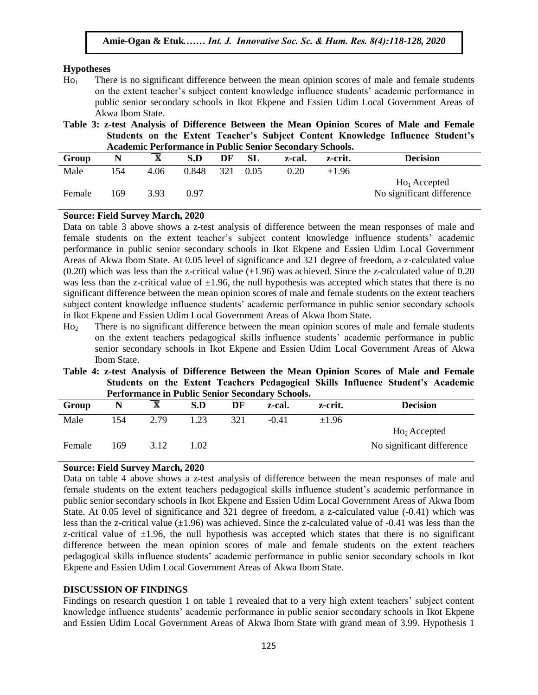### **Hypotheses**

- $H_0$  There is no significant difference between the mean opinion scores of male and female students on the extent teacher"s subject content knowledge influence students" academic performance in public senior secondary schools in Ikot Ekpene and Essien Udim Local Government Areas of Akwa Ibom State.
- Table 3: z-test Analysis of Difference Between the Mean Opinion Scores of Male and Female **Students on the Extent Teacher's Subject Content Knowledge Influence Student's Academic Performance in Public Senior Secondary Schools.**

| темаение і спопимнее ні і арне бенют бесонамі<br>, naman |     |      |       |     |           |        |            |                           |  |  |
|----------------------------------------------------------|-----|------|-------|-----|-----------|--------|------------|---------------------------|--|--|
| Group                                                    |     |      | S.D   | DF  | <b>SL</b> | z-cal. | z-crit.    | <b>Decision</b>           |  |  |
| Male                                                     | 154 | 4.06 | 0.848 | 321 | 0.05      | 0.20   | $\pm 1.96$ |                           |  |  |
|                                                          |     |      |       |     |           |        |            | $Ho1$ Accepted            |  |  |
| Female                                                   | 169 | 3.93 | 0 97  |     |           |        |            | No significant difference |  |  |
|                                                          |     |      |       |     |           |        |            |                           |  |  |

# **Source: Field Survey March, 2020**

Data on table 3 above shows a z-test analysis of difference between the mean responses of male and female students on the extent teacher"s subject content knowledge influence students" academic performance in public senior secondary schools in Ikot Ekpene and Essien Udim Local Government performance in public senior secondary schools in not experie and essien cum ebear dovernment<br>Areas of Akwa Ibom State. At 0.05 level of significance and 321 degree of freedom, a z-calculated value  $(0.20)$  which was less than the z-critical value  $(\pm 1.96)$  was achieved. Since the z-calculated value of 0.20 was less than the z-critical value of  $\pm 1.96$ , the null hypothesis was accepted which states that there is no significant difference between the mean opinion scores of male and female students on the extent teachers significant unterence between the mean opinion scores of male and remain students on the extent teachers<br>subject content knowledge influence students' academic performance in public senior secondary schools in Ikot Ekpene and Essien Udim Local Government Areas of Akwa Ibom State.

- Ho<sup>2</sup> There is no significant difference between the mean opinion scores of male and female students on the extent teachers pedagogical skills influence students" academic performance in public on the extent teachers pedagogical skins influence students academic performance in public senior secondary schools in Ikot Ekpene and Essien Udim Local Government Areas of Akwa Ibom State.
- **Table 4: z-test Analysis of Difference Between the Mean Opinion Scores of Male and Female Students on the Extent Teachers Pedagogical Skills Influence Student's Academic Performance in Public Senior Secondary Schools.**

| Group  | N   | $\mathbf{A}$ | S.D  | DF  | z-cal.  | z-crit.    | <b>Decision</b>           |  |  |  |
|--------|-----|--------------|------|-----|---------|------------|---------------------------|--|--|--|
| Male   | 154 | 2.79         | .23  | 321 | $-0.41$ | $\pm 1.96$ |                           |  |  |  |
|        |     |              |      |     |         |            | $Ho2$ Accepted            |  |  |  |
| Female | 169 | 3.12         | 0.02 |     |         |            | No significant difference |  |  |  |

### **Source: Field Survey March, 2020**

Data on table 4 above shows a z-test analysis of difference between the mean responses of male and female students on the extent teachers pedagogical skills influence student"s academic performance in public senior secondary schools in Ikot Ekpene and Essien Udim Local Government Areas of Akwa Ibom State. At 0.05 level of significance and 321 degree of freedom, a z-calculated value (-0.41) which was less than the z-critical value  $(\pm 1.96)$  was achieved. Since the z-calculated value of -0.41 was less than the z-critical value of  $\pm 1.96$ , the null hypothesis was accepted which states that there is no significant difference between the mean opinion scores of male and female students on the extent teachers pedagogical skills influence students" academic performance in public senior secondary schools in Ikot Ekpene and Essien Udim Local Government Areas of Akwa Ibom State.

### **DISCUSSION OF FINDINGS**

Findings on research question 1 on table 1 revealed that to a very high extent teachers' subject content knowledge influence students" academic performance in public senior secondary schools in Ikot Ekpene and Essien Udim Local Government Areas of Akwa Ibom State with grand mean of 3.99. Hypothesis 1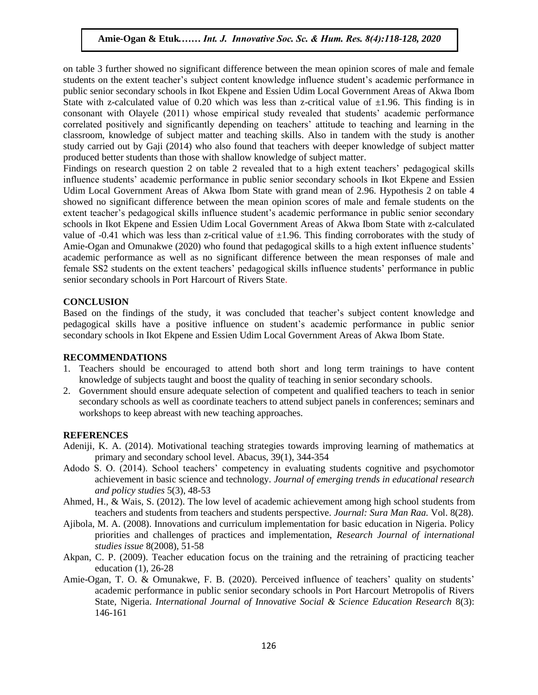on table 3 further showed no significant difference between the mean opinion scores of male and female students on the extent teacher"s subject content knowledge influence student"s academic performance in public senior secondary schools in Ikot Ekpene and Essien Udim Local Government Areas of Akwa Ibom State with z-calculated value of 0.20 which was less than z-critical value of  $\pm 1.96$ . This finding is in consonant with Olayele (2011) whose empirical study revealed that students' academic performance correlated positively and significantly depending on teachers" attitude to teaching and learning in the classroom, knowledge of subject matter and teaching skills. Also in tandem with the study is another study carried out by Gaji (2014) who also found that teachers with deeper knowledge of subject matter produced better students than those with shallow knowledge of subject matter.

produced better students than those with shahow knowledge or subject matter.<br>Findings on research question 2 on table 2 revealed that to a high extent teachers' pedagogical skills influence students" academic performance in public senior secondary schools in Ikot Ekpene and Essien Udim Local Government Areas of Akwa Ibom State with grand mean of 2.96. Hypothesis 2 on table 4 showed no significant difference between the mean opinion scores of male and female students on the showed no significant difference between the filem opinion scores of male and female students on the extent teacher's pedagogical skills influence student's academic performance in public senior secondary schools in Ikot Ekpene and Essien Udim Local Government Areas of Akwa Ibom State with z-calculated value of  $-0.41$  which was less than z-critical value of  $\pm 1.96$ . This finding corroborates with the study of Amie-Ogan and Omunakwe (2020) who found that pedagogical skills to a high extent influence students' academic performance as well as no significant difference between the mean responses of male and female SS2 students on the extent teachers' pedagogical skills influence students' performance in public senior secondary schools in Port Harcourt of Rivers State.

#### **CONCLUSION** Arugu & Wosu …… Int. J. Innovative Soc. Sc. & Hum. Res. 8(1):1-11, 2020

Based on the findings of the study, it was concluded that teacher"s subject content knowledge and pedagogical skills have a positive influence on student"s academic performance in public senior secondary schools in Ikot Ekpene and Essien Udim Local Government Areas of Akwa Ibom State.

### **RECOMMENDATIONS**

- 1. Teachers should be encouraged to attend both short and long term trainings to have content knowledge of subjects taught and boost the quality of teaching in senior secondary schools.
- 2. Government should ensure adequate selection of competent and qualified teachers to teach in senior secondary schools as well as coordinate teachers to attend subject panels in conferences; seminars and workshops to keep abreast with new teaching approaches.

### **REFERENCES**

- Adeniji, K. A. (2014). Motivational teaching strategies towards improving learning of mathematics at primary and secondary school level. Abacus, 39(1), 344-354
- Adodo S. O. (2014). School teachers" competency in evaluating students cognitive and psychomotor achievement in basic science and technology. *Journal of emerging trends in educational research and policy studies* 5(3), 48-53
- Ahmed, H., & Wais, S. (2012). The low level of academic achievement among high school students from teachers and students from teachers and students perspective. *Journal: Sura Man Raa.* Vol. 8(28).
- Ajibola, M. A. (2008). Innovations and curriculum implementation for basic education in Nigeria. Policy priorities and challenges of practices and implementation, *Research Journal of international studies issue* 8(2008), 51-58
- Akpan, C. P. (2009). Teacher education focus on the training and the retraining of practicing teacher education (1), 26-28
- Amie-Ogan, T. O. & Omunakwe, F. B. (2020). Perceived influence of teachers' quality on students' academic performance in public senior secondary schools in Port Harcourt Metropolis of Rivers State, Nigeria. *International Journal of Innovative Social & Science Education Research* 8(3): 146-161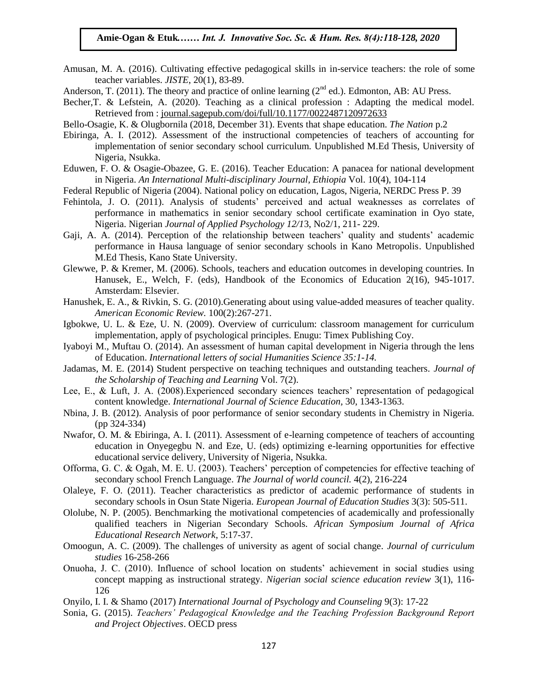- Amusan, M. A. (2016). Cultivating effective pedagogical skills in in-service teachers: the role of some teacher variables. *JISTE*, 20(1), 83-89.
- Anderson, T. (2011). The theory and practice of online learning ( $2<sup>nd</sup>$  ed.). Edmonton, AB: AU Press.
- Becher,T. & Lefstein, A. (2020). Teaching as a clinical profession : Adapting the medical model. Retrieved from : journal.sagepub.com/doi/full/10.1177/0022487120972633
- Bello-Osagie, K. & Olugbornila (2018, December 31). Events that shape education. *The Nation* p.2
- Ebiringa, A. I. (2012). Assessment of the instructional competencies of teachers of accounting for implementation of senior secondary school curriculum. Unpublished M.Ed Thesis, University of Nigeria, Nsukka.  $\frac{1}{2}$  Migeria, INSUKKa.
- Eduwen, F. O. & Osagie-Obazee, G. E. (2016). Teacher Education: A panacea for national development in Nigeria. *An International Multi-disciplinary Journal, Ethiopia* Vol. 10(4), 104-114
- Federal Republic of Nigeria (2004). National policy on education, Lagos, Nigeria, NERDC Press P. 39
- Fehintola, J. O. (2011). Analysis of students' perceived and actual weaknesses as correlates of performance in mathematics in senior secondary school certificate examination in Oyo state, Nigeria. Nigerian *Journal of Applied Psychology 12/1*3, No2/1, 211- 229.
- Gaji, A. A. (2014). Perception of the relationship between teachers" quality and students" academic performance in Hausa language of senior secondary schools in Kano Metropolis. Unpublished MEUT M.Ed Thesis, Kano State University.
- Glewwe, P. & Kremer, M. (2006). Schools, teachers and education outcomes in developing countries. In Hanusek, E., Welch, F. (eds), Handbook of the Economics of Education 2(16), 945-1017. Amsterdam: Elsevier.
- Ainsteruani. Eisevier.<br>Hanushek, E. A., & Rivkin, S. G. (2010). Generating about using value-added measures of teacher quality. *American Economic Review.* 100(2):267-271.
- Igbokwe, U. L. & Eze, U. N. (2009). Overview of curriculum: classroom management for curriculum implementation, apply of psychological principles. Enugu: Timex Publishing Coy.
- Implementation, apply of psychological principles. Entigu: Thilex Publishing Coy.<br>Iyaboyi M., Muftau O. (2014). An assessment of human capital development in Nigeria through the lens of Education. *International letters of social Humanities Science 35:1-14.*
- Jadamas, M. E. (2014) Student perspective on teaching techniques and outstanding teachers. *Journal of the Scholarship of Teaching and Learning* Vol. 7(2).
- Lee, E., & Luft, J. A. (2008).Experienced secondary sciences teachers' representation of pedagogical content knowledge. *International Journal of Science Education,* 30, 1343-1363.
- Nbina, J. B. (2012). Analysis of poor performance of senior secondary students in Chemistry in Nigeria. (pp 324-334)
- Nwafor, O. M. & Ebiringa, A. I. (2011). Assessment of e-learning competence of teachers of accounting education in Onyegegbu N. and Eze, U. (eds) optimizing e-learning opportunities for effective educational service delivery, University of Nigeria, Nsukka.
- Offorma, G. C. & Ogah, M. E. U. (2003). Teachers' perception of competencies for effective teaching of secondary school French Language. *The Journal of world council.* 4(2), 216-224
- Olaleye, F. O. (2011). Teacher characteristics as predictor of academic performance of students in secondary schools in Osun State Nigeria. *European Journal of Education Studies* 3(3): 505-511.
- Ololube, N. P. (2005). Benchmarking the motivational competencies of academically and professionally qualified teachers in Nigerian Secondary Schools. *African Symposium Journal of Africa Educational Research Network*, 5:17-37.
- Omoogun, A. C. (2009). The challenges of university as agent of social change. *Journal of curriculum studies* 16-258-266
- Onuoha, J. C. (2010). Influence of school location on students" achievement in social studies using concept mapping as instructional strategy. *Nigerian social science education review* 3(1), 116- 126
- Onyilo, I. I. & Shamo (2017) *International Journal of Psychology and Counseling* 9(3): 17-22
- Sonia, G. (2015). *Teachers' Pedagogical Knowledge and the Teaching Profession Background Report and Project Objectives*. OECD press